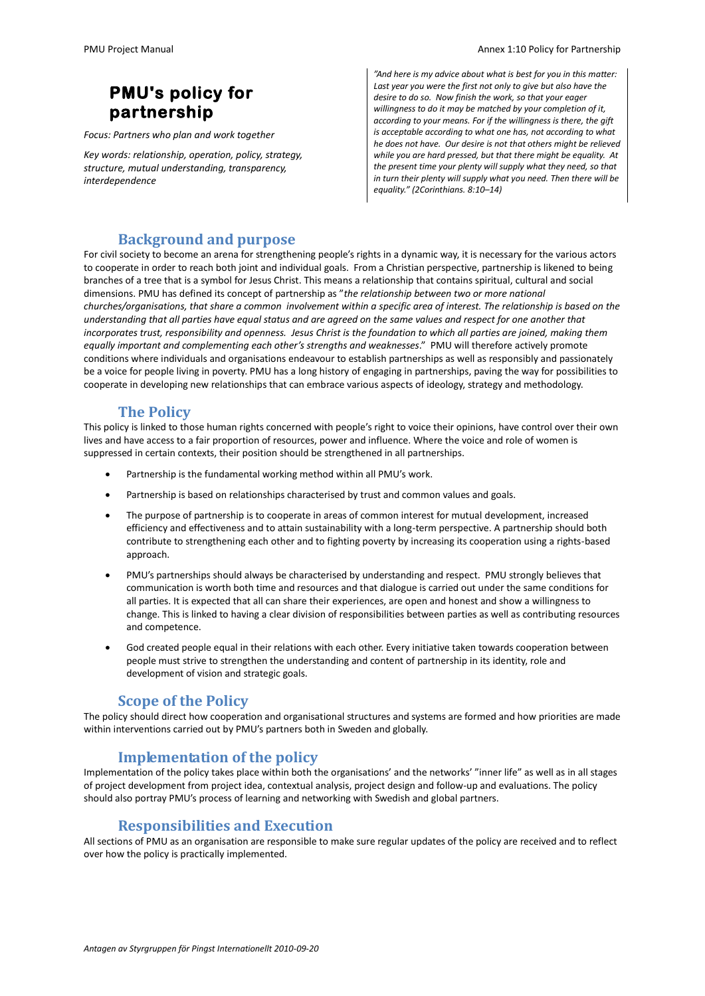# **PMU's policy for partnership**

*Focus: Partners who plan and work together*

*Key words: relationship, operation, policy, strategy, structure, mutual understanding, transparency, interdependence* 

*"And here is my advice about what is best for you in this matter: Last year you were the first not only to give but also have the desire to do so. Now finish the work, so that your eager willingness to do it may be matched by your completion of it, according to your means. For if the willingness is there, the gift is acceptable according to what one has, not according to what he does not have. Our desire is not that others might be relieved while you are hard pressed, but that there might be equality. At the present time your plenty will supply what they need, so that in turn their plenty will supply what you need. Then there will be equality." (2Corinthians. 8:10–14)*

### **Background and purpose**

For civil society to become an arena for strengthening people's rights in a dynamic way, it is necessary for the various actors to cooperate in order to reach both joint and individual goals. From a Christian perspective, partnership is likened to being branches of a tree that is a symbol for Jesus Christ. This means a relationship that contains spiritual, cultural and social dimensions. PMU has defined its concept of partnership as "*the relationship between two or more national churches/organisations, that share a common involvement within a specific area of interest. The relationship is based on the understanding that all parties have equal status and are agreed on the same values and respect for one another that incorporates trust, responsibility and openness. Jesus Christ is the foundation to which all parties are joined, making them equally important and complementing each other's strengths and weaknesses*." PMU will therefore actively promote conditions where individuals and organisations endeavour to establish partnerships as well as responsibly and passionately be a voice for people living in poverty. PMU has a long history of engaging in partnerships, paving the way for possibilities to cooperate in developing new relationships that can embrace various aspects of ideology, strategy and methodology.

#### **The Policy**

This policy is linked to those human rights concerned with people's right to voice their opinions, have control over their own lives and have access to a fair proportion of resources, power and influence. Where the voice and role of women is suppressed in certain contexts, their position should be strengthened in all partnerships.

- Partnership is the fundamental working method within all PMU's work.
- Partnership is based on relationships characterised by trust and common values and goals.
- The purpose of partnership is to cooperate in areas of common interest for mutual development, increased efficiency and effectiveness and to attain sustainability with a long-term perspective. A partnership should both contribute to strengthening each other and to fighting poverty by increasing its cooperation using a rights-based approach.
- PMU's partnerships should always be characterised by understanding and respect. PMU strongly believes that communication is worth both time and resources and that dialogue is carried out under the same conditions for all parties. It is expected that all can share their experiences, are open and honest and show a willingness to change. This is linked to having a clear division of responsibilities between parties as well as contributing resources and competence.
- God created people equal in their relations with each other. Every initiative taken towards cooperation between people must strive to strengthen the understanding and content of partnership in its identity, role and development of vision and strategic goals.

#### **Scope of the Policy**

The policy should direct how cooperation and organisational structures and systems are formed and how priorities are made within interventions carried out by PMU's partners both in Sweden and globally.

#### **Implementation of the policy**

Implementation of the policy takes place within both the organisations' and the networks' "inner life" as well as in all stages of project development from project idea, contextual analysis, project design and follow-up and evaluations. The policy should also portray PMU's process of learning and networking with Swedish and global partners.

#### **Responsibilities and Execution**

All sections of PMU as an organisation are responsible to make sure regular updates of the policy are received and to reflect over how the policy is practically implemented.